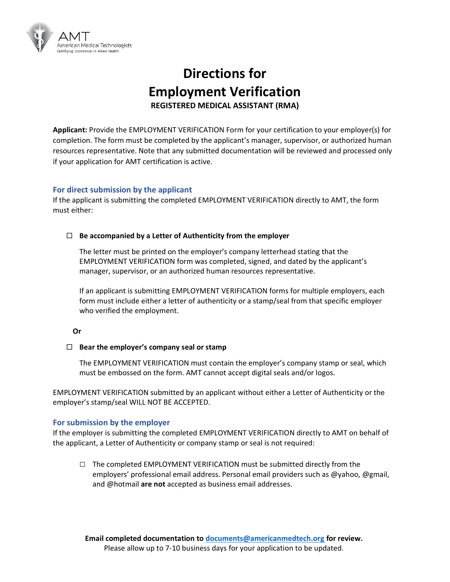

# **Directions for Employment Verification REGISTERED MEDICAL ASSISTANT (RMA)**

**Applicant:** Provide the EMPLOYMENT VERIFICATION Form for your certification to your employer(s) for completion. The form must be completed by the applicant's manager, supervisor, or authorized human resources representative. Note that any submitted documentation will be reviewed and processed only if your application for AMT certification is active.

### **For direct submission by the applicant**

If the applicant is submitting the completed EMPLOYMENT VERIFICATION directly to AMT, the form must either:

#### **Be accompanied by a Letter of Authenticity from the employer**

The letter must be printed on the employer's company letterhead stating that the EMPLOYMENT VERIFICATION form was completed, signed, and dated by the applicant's manager, supervisor, or an authorized human resources representative.

If an applicant is submitting EMPLOYMENT VERIFICATION forms for multiple employers, each form must include either a letter of authenticity or a stamp/seal from that specific employer who verified the employment.

#### **Or**

#### **Bear the employer's company seal or stamp**

The EMPLOYMENT VERIFICATION must contain the employer's company stamp or seal, which must be embossed on the form. AMT cannot accept digital seals and/or logos.

EMPLOYMENT VERIFICATION submitted by an applicant without either a Letter of Authenticity or the employer's stamp/seal WILL NOT BE ACCEPTED.

#### **For submission by the employer**

If the employer is submitting the completed EMPLOYMENT VERIFICATION directly to AMT on behalf of the applicant, a Letter of Authenticity or company stamp or seal is not required:

**□** The completed EMPLOYMENT VERIFICATION must be submitted directly from the employers' professional email address. Personal email providers such as @yahoo, @gmail, and @hotmail **are not** accepted as business email addresses.